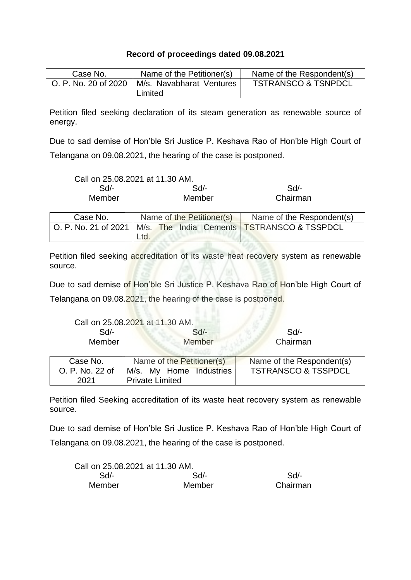## **Record of proceedings dated 09.08.2021**

| Case No.             | Name of the Petitioner(s)           | Name of the Respondent(s)      |
|----------------------|-------------------------------------|--------------------------------|
| O. P. No. 20 of 2020 | M/s. Navabharat Ventures<br>Limited | <b>TSTRANSCO &amp; TSNPDCL</b> |

Petition filed seeking declaration of its steam generation as renewable source of energy.

Due to sad demise of Hon'ble Sri Justice P. Keshava Rao of Hon'ble High Court of Telangana on 09.08.2021, the hearing of the case is postponed.

| Call on 25.08.2021 at 11.30 AM. |        |          |
|---------------------------------|--------|----------|
| Sd/-                            | Sd     | $Sd/$ -  |
| Member                          | Member | Chairman |

| Case No. | Name of the Petitioner(s)                                           |  | Name of the Respondent(s) |  |
|----------|---------------------------------------------------------------------|--|---------------------------|--|
|          | O. P. No. 21 of 2021   M/s. The India Cements   TSTRANSCO & TSSPDCL |  |                           |  |
|          | Ltd.                                                                |  |                           |  |

Petition filed seeking accreditation of its waste heat recovery system as renewable source.

Due to sad demise of Hon'ble Sri Justice P. Keshava Rao of Hon'ble High Court of Telangana on 09.08.2021, the hearing of the case is postponed.

| Call on 25.08.2021 at 11.30 AM. |        |          |
|---------------------------------|--------|----------|
| Sd/-                            | Sd/-   | $Sd$ -   |
| Member                          | Member | Chairman |

| Case No.        | Name of the Petitioner(s) | Name of the Respondent(s)      |
|-----------------|---------------------------|--------------------------------|
| O. P. No. 22 of | M/s. My Home Industries   | <b>TSTRANSCO &amp; TSSPDCL</b> |
| 2021            | Private Limited           |                                |

Petition filed Seeking accreditation of its waste heat recovery system as renewable source.

Due to sad demise of Hon'ble Sri Justice P. Keshava Rao of Hon'ble High Court of Telangana on 09.08.2021, the hearing of the case is postponed.

| Call on 25.08.2021 at 11.30 AM. |        |          |
|---------------------------------|--------|----------|
| $Sd$ -                          | Sd     | Sd       |
| Member                          | Member | Chairman |